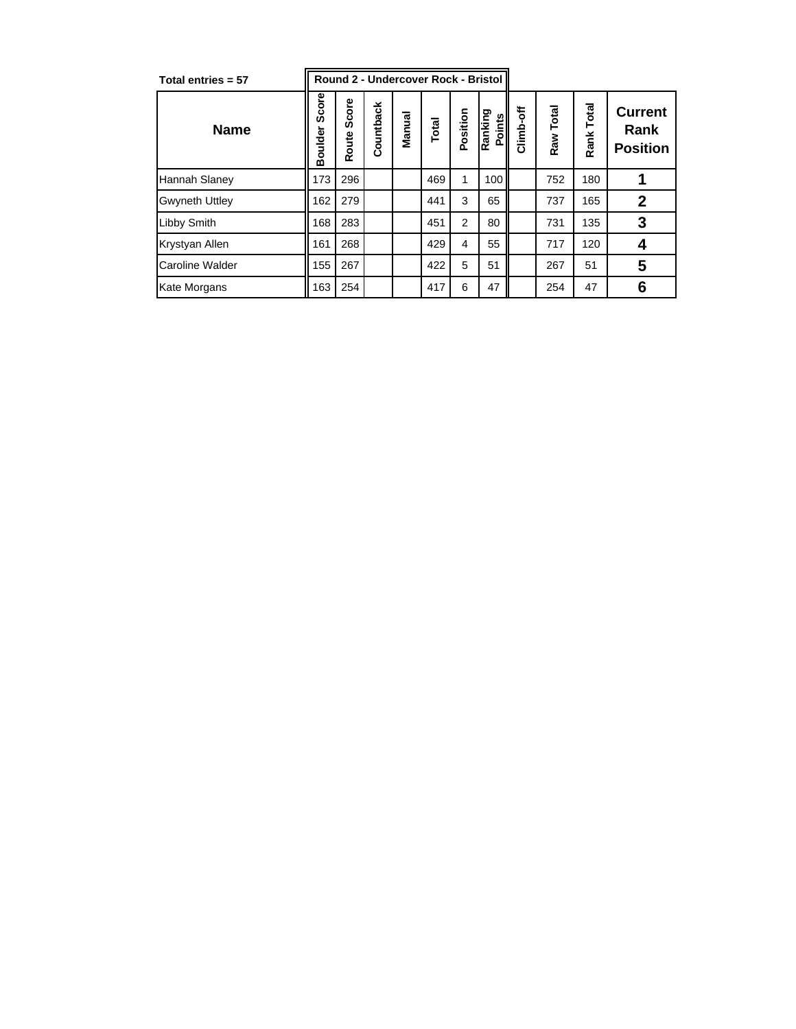| Total entries = 57    | Round 2 - Undercover Rock - Bristol |                |           |        |       |          |                   |             |           |            |                                           |
|-----------------------|-------------------------------------|----------------|-----------|--------|-------|----------|-------------------|-------------|-----------|------------|-------------------------------------------|
| <b>Name</b>           | Score<br>Boulder                    | Score<br>Route | Countback | Manual | Total | Position | Ranking<br>Points | Ѣ<br>Climb- | Raw Total | Rank Total | <b>Current</b><br>Rank<br><b>Position</b> |
| Hannah Slaney         | 173                                 | 296            |           |        | 469   | 1        | 100               |             | 752       | 180        |                                           |
| <b>Gwyneth Uttley</b> | 162                                 | 279            |           |        | 441   | 3        | 65                |             | 737       | 165        | $\mathbf{2}$                              |
| Libby Smith           | 168                                 | 283            |           |        | 451   | 2        | 80                |             | 731       | 135        | 3                                         |
| Krystyan Allen        | 161                                 | 268            |           |        | 429   | 4        | 55                |             | 717       | 120        | 4                                         |
| Caroline Walder       | 155                                 | 267            |           |        | 422   | 5        | 51                |             | 267       | 51         | 5                                         |
| Kate Morgans          | 163                                 | 254            |           |        | 417   | 6        | 47                |             | 254       | 47         | 6                                         |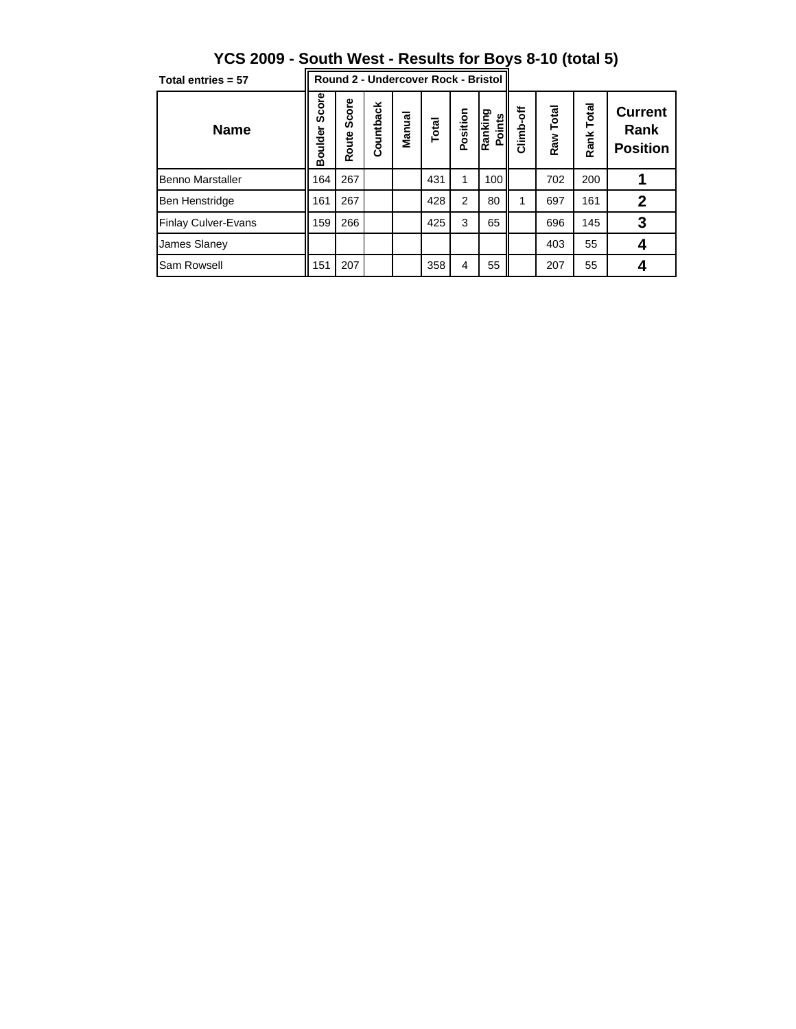| Total entries = 57         | Round 2 - Undercover Rock - Bristol |                |           |        |       |                |                   |           |           |            |                                           |
|----------------------------|-------------------------------------|----------------|-----------|--------|-------|----------------|-------------------|-----------|-----------|------------|-------------------------------------------|
| <b>Name</b>                | Score<br>Boulder                    | Score<br>Route | Countback | Manual | Total | Position       | Ranking<br>Points | Climb-off | Raw Total | Rank Total | <b>Current</b><br>Rank<br><b>Position</b> |
| Benno Marstaller           | 164                                 | 267            |           |        | 431   |                | 100               |           | 702       | 200        |                                           |
| <b>Ben Henstridge</b>      | 161                                 | 267            |           |        | 428   | $\overline{2}$ | 80                |           | 697       | 161        | $\mathbf 2$                               |
| <b>Finlay Culver-Evans</b> | 159                                 | 266            |           |        | 425   | 3              | 65                |           | 696       | 145        | 3                                         |
| <b>James Slaney</b>        |                                     |                |           |        |       |                |                   |           | 403       | 55         |                                           |
| Sam Rowsell                | 151                                 | 207            |           |        | 358   | $\overline{4}$ | 55                |           | 207       | 55         |                                           |

**YCS 2009 - South West - Results for Boys 8-10 (total 5)**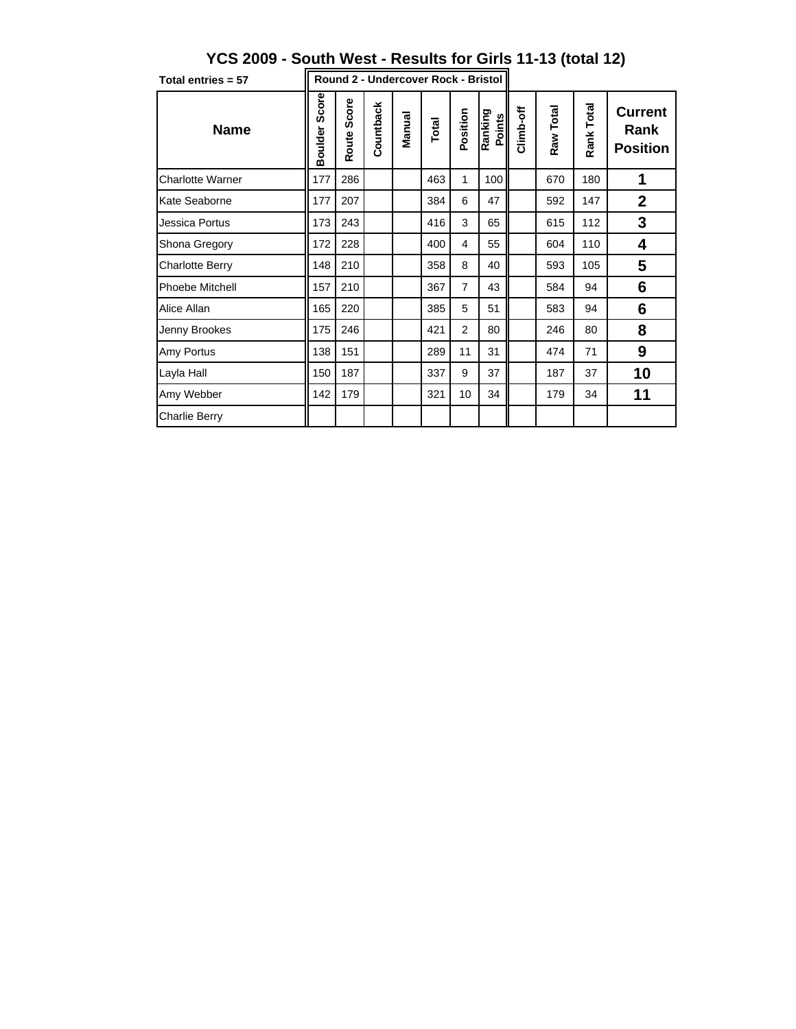| Total entries = 57      | Round 2 - Undercover Rock - Bristol |                |           |        |       |                |                   |           |           |            |                                           |
|-------------------------|-------------------------------------|----------------|-----------|--------|-------|----------------|-------------------|-----------|-----------|------------|-------------------------------------------|
| <b>Name</b>             | Score<br><b>Boulder</b>             | Score<br>Route | Countback | Manual | Total | Position       | Ranking<br>Points | Climb-off | Raw Total | Rank Total | <b>Current</b><br>Rank<br><b>Position</b> |
| <b>Charlotte Warner</b> | 177                                 | 286            |           |        | 463   | 1              | 100               |           | 670       | 180        | 1                                         |
| <b>Kate Seaborne</b>    | 177                                 | 207            |           |        | 384   | 6              | 47                |           | 592       | 147        | $\overline{2}$                            |
| Jessica Portus          | 173                                 | 243            |           |        | 416   | 3              | 65                |           | 615       | 112        | 3                                         |
| <b>Shona Gregory</b>    | 172                                 | 228            |           |        | 400   | 4              | 55                |           | 604       | 110        | 4                                         |
| Charlotte Berry         | 148                                 | 210            |           |        | 358   | 8              | 40                |           | 593       | 105        | 5                                         |
| <b>Phoebe Mitchell</b>  | 157                                 | 210            |           |        | 367   | 7              | 43                |           | 584       | 94         | 6                                         |
| Alice Allan             | 165                                 | 220            |           |        | 385   | 5              | 51                |           | 583       | 94         | 6                                         |
| Jenny Brookes           | 175                                 | 246            |           |        | 421   | $\overline{2}$ | 80                |           | 246       | 80         | 8                                         |
| Amy Portus              | 138                                 | 151            |           |        | 289   | 11             | 31                |           | 474       | 71         | 9                                         |
| Layla Hall              | 150                                 | 187            |           |        | 337   | 9              | 37                |           | 187       | 37         | 10                                        |
| Amy Webber              | 142                                 | 179            |           |        | 321   | 10             | 34                |           | 179       | 34         | 11                                        |
| <b>Charlie Berry</b>    |                                     |                |           |        |       |                |                   |           |           |            |                                           |

## **YCS 2009 - South West - Results for Girls 11-13 (total 12)**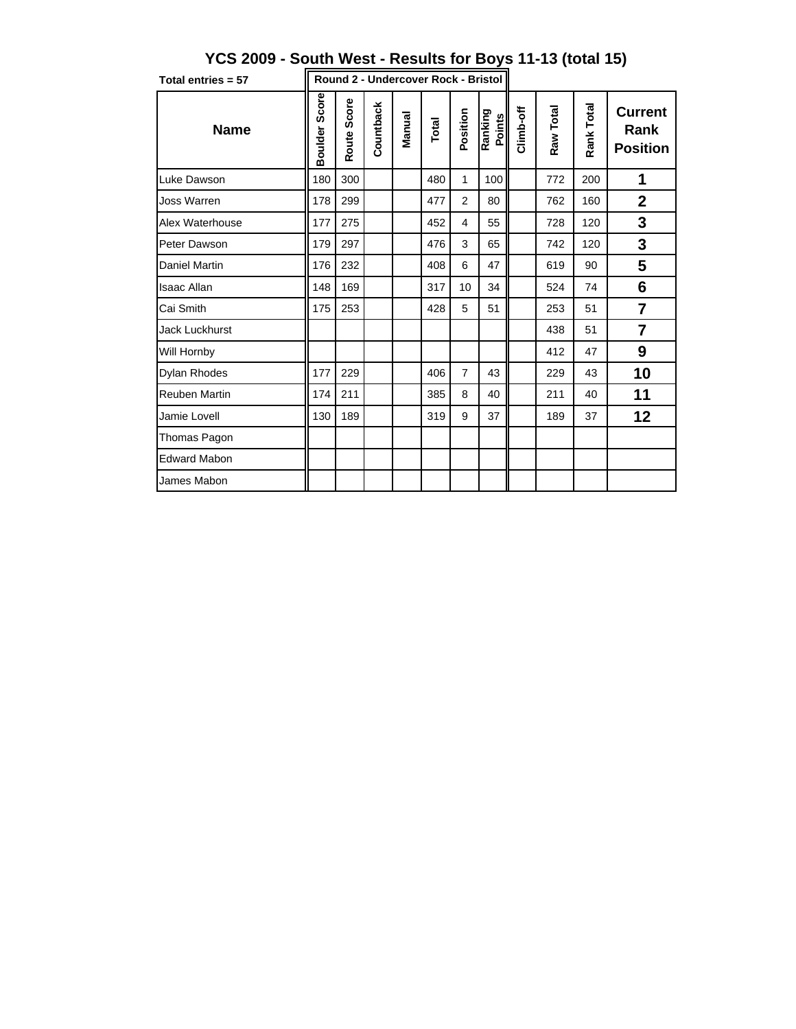| Total entries = 57    | Round 2 - Undercover Rock - Bristol |             |           |        |       |                |                   |           |           |            |                                           |
|-----------------------|-------------------------------------|-------------|-----------|--------|-------|----------------|-------------------|-----------|-----------|------------|-------------------------------------------|
| <b>Name</b>           | Score<br><b>Boulder</b>             | Route Score | Countback | Manual | Total | Position       | Ranking<br>Points | Climb-off | Raw Total | Rank Total | <b>Current</b><br>Rank<br><b>Position</b> |
| Luke Dawson           | 180                                 | 300         |           |        | 480   | 1              | 100               |           | 772       | 200        | 1                                         |
| <b>Joss Warren</b>    | 178                                 | 299         |           |        | 477   | $\overline{2}$ | 80                |           | 762       | 160        | $\mathbf 2$                               |
| Alex Waterhouse       | 177                                 | 275         |           |        | 452   | 4              | 55                |           | 728       | 120        | 3                                         |
| Peter Dawson          | 179                                 | 297         |           |        | 476   | 3              | 65                |           | 742       | 120        | 3                                         |
| <b>Daniel Martin</b>  | 176                                 | 232         |           |        | 408   | 6              | 47                |           | 619       | 90         | 5                                         |
| <b>Isaac Allan</b>    | 148                                 | 169         |           |        | 317   | 10             | 34                |           | 524       | 74         | 6                                         |
| Cai Smith             | 175                                 | 253         |           |        | 428   | 5              | 51                |           | 253       | 51         | $\overline{7}$                            |
| <b>Jack Luckhurst</b> |                                     |             |           |        |       |                |                   |           | 438       | 51         | $\overline{7}$                            |
| Will Hornby           |                                     |             |           |        |       |                |                   |           | 412       | 47         | 9                                         |
| <b>Dylan Rhodes</b>   | 177                                 | 229         |           |        | 406   | $\overline{7}$ | 43                |           | 229       | 43         | 10                                        |
| <b>Reuben Martin</b>  | 174                                 | 211         |           |        | 385   | 8              | 40                |           | 211       | 40         | 11                                        |
| Jamie Lovell          | 130                                 | 189         |           |        | 319   | 9              | 37                |           | 189       | 37         | 12                                        |
| Thomas Pagon          |                                     |             |           |        |       |                |                   |           |           |            |                                           |
| <b>Edward Mabon</b>   |                                     |             |           |        |       |                |                   |           |           |            |                                           |
| James Mabon           |                                     |             |           |        |       |                |                   |           |           |            |                                           |

## **YCS 2009 - South West - Results for Boys 11-13 (total 15)**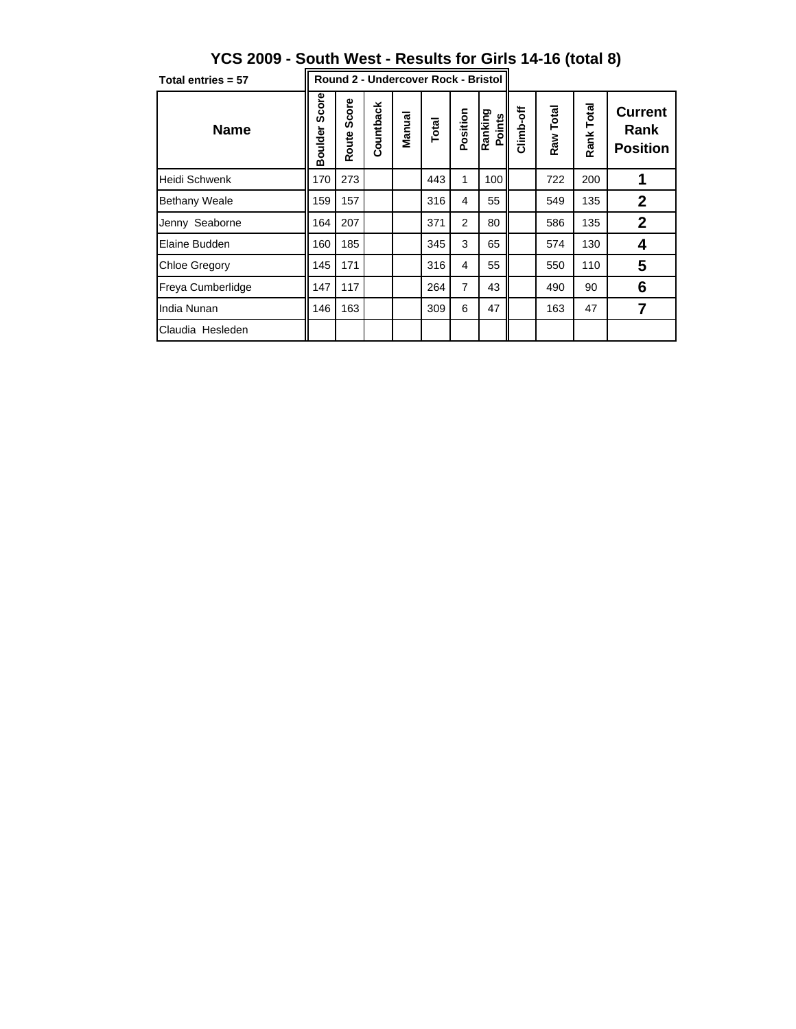| Total entries = 57   | Round 2 - Undercover Rock - Bristol II |                |           |        |       |          |                   |           |           |            |                                           |
|----------------------|----------------------------------------|----------------|-----------|--------|-------|----------|-------------------|-----------|-----------|------------|-------------------------------------------|
| <b>Name</b>          | Score<br>Boulder                       | Score<br>Route | Countback | Manual | Total | Position | Ranking<br>Points | Climb-off | Raw Total | Rank Total | <b>Current</b><br>Rank<br><b>Position</b> |
| <b>Heidi Schwenk</b> | 170                                    | 273            |           |        | 443   | 1        | 100               |           | 722       | 200        |                                           |
| <b>Bethany Weale</b> | 159                                    | 157            |           |        | 316   | 4        | 55                |           | 549       | 135        | $\mathbf{2}$                              |
| Jenny Seaborne       | 164                                    | 207            |           |        | 371   | 2        | 80                |           | 586       | 135        | $\mathbf{2}$                              |
| Elaine Budden        | 160                                    | 185            |           |        | 345   | 3        | 65                |           | 574       | 130        | 4                                         |
| <b>Chloe Gregory</b> | 145                                    | 171            |           |        | 316   | 4        | 55                |           | 550       | 110        | 5                                         |
| Freya Cumberlidge    | 147                                    | 117            |           |        | 264   | 7        | 43                |           | 490       | 90         | 6                                         |
| India Nunan          | 146                                    | 163            |           |        | 309   | 6        | 47                |           | 163       | 47         | 7                                         |
| Claudia Hesleden     |                                        |                |           |        |       |          |                   |           |           |            |                                           |

## **YCS 2009 - South West - Results for Girls 14-16 (total 8)**